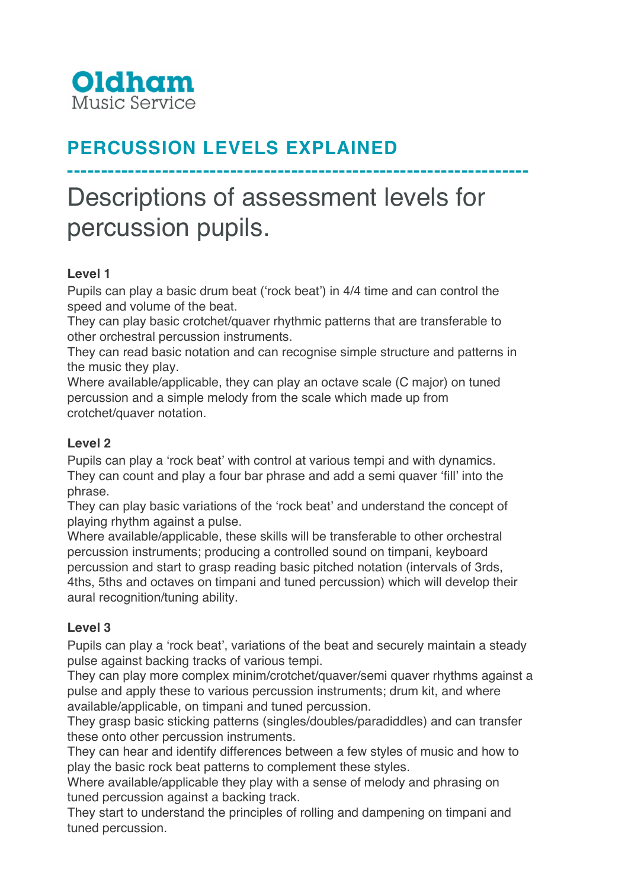

# **PERCUSSION LEVELS EXPLAINED**

# Descriptions of assessment levels for percussion pupils.

**--------------------------------------------------------------------**

# **Level 1**

Pupils can play a basic drum beat ('rock beat') in 4/4 time and can control the speed and volume of the beat.

They can play basic crotchet/quaver rhythmic patterns that are transferable to other orchestral percussion instruments.

They can read basic notation and can recognise simple structure and patterns in the music they play.

Where available/applicable, they can play an octave scale (C major) on tuned percussion and a simple melody from the scale which made up from crotchet/quaver notation.

#### **Level 2**

Pupils can play a 'rock beat' with control at various tempi and with dynamics. They can count and play a four bar phrase and add a semi quaver 'fill' into the phrase.

They can play basic variations of the 'rock beat' and understand the concept of playing rhythm against a pulse.

Where available/applicable, these skills will be transferable to other orchestral percussion instruments; producing a controlled sound on timpani, keyboard percussion and start to grasp reading basic pitched notation (intervals of 3rds, 4ths, 5ths and octaves on timpani and tuned percussion) which will develop their aural recognition/tuning ability.

# **Level 3**

Pupils can play a 'rock beat', variations of the beat and securely maintain a steady pulse against backing tracks of various tempi.

They can play more complex minim/crotchet/quaver/semi quaver rhythms against a pulse and apply these to various percussion instruments; drum kit, and where available/applicable, on timpani and tuned percussion.

They grasp basic sticking patterns (singles/doubles/paradiddles) and can transfer these onto other percussion instruments.

They can hear and identify differences between a few styles of music and how to play the basic rock beat patterns to complement these styles.

Where available/applicable they play with a sense of melody and phrasing on tuned percussion against a backing track.

They start to understand the principles of rolling and dampening on timpani and tuned percussion.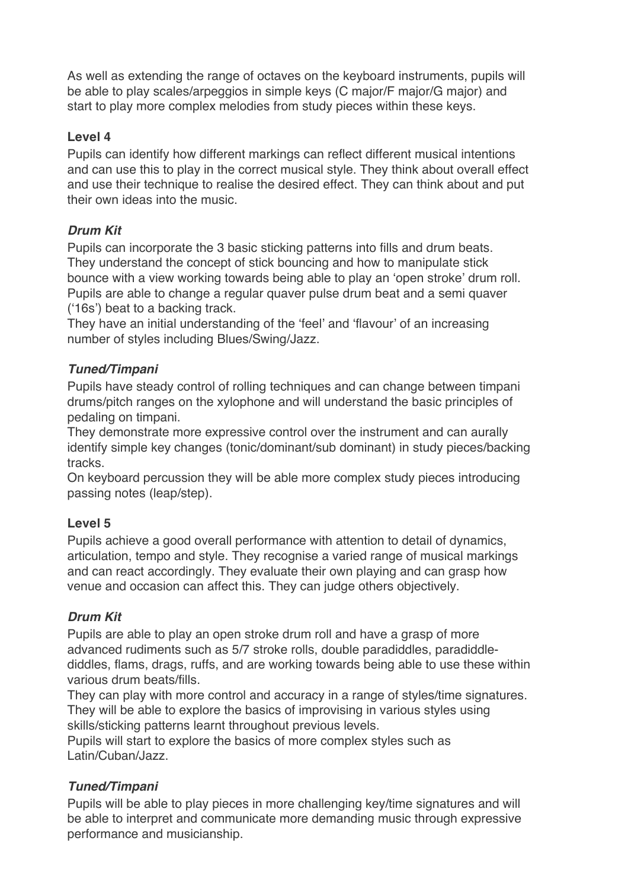As well as extending the range of octaves on the keyboard instruments, pupils will be able to play scales/arpeggios in simple keys (C major/F major/G major) and start to play more complex melodies from study pieces within these keys.

#### **Level 4**

Pupils can identify how different markings can reflect different musical intentions and can use this to play in the correct musical style. They think about overall effect and use their technique to realise the desired effect. They can think about and put their own ideas into the music.

# *Drum Kit*

Pupils can incorporate the 3 basic sticking patterns into fills and drum beats. They understand the concept of stick bouncing and how to manipulate stick bounce with a view working towards being able to play an 'open stroke' drum roll. Pupils are able to change a regular quaver pulse drum beat and a semi quaver ('16s') beat to a backing track.

They have an initial understanding of the 'feel' and 'flavour' of an increasing number of styles including Blues/Swing/Jazz.

# *Tuned/Timpani*

Pupils have steady control of rolling techniques and can change between timpani drums/pitch ranges on the xylophone and will understand the basic principles of pedaling on timpani.

They demonstrate more expressive control over the instrument and can aurally identify simple key changes (tonic/dominant/sub dominant) in study pieces/backing tracks.

On keyboard percussion they will be able more complex study pieces introducing passing notes (leap/step).

#### **Level 5**

Pupils achieve a good overall performance with attention to detail of dynamics, articulation, tempo and style. They recognise a varied range of musical markings and can react accordingly. They evaluate their own playing and can grasp how venue and occasion can affect this. They can judge others objectively.

# *Drum Kit*

Pupils are able to play an open stroke drum roll and have a grasp of more advanced rudiments such as 5/7 stroke rolls, double paradiddles, paradiddlediddles, flams, drags, ruffs, and are working towards being able to use these within various drum beats/fills.

They can play with more control and accuracy in a range of styles/time signatures. They will be able to explore the basics of improvising in various styles using skills/sticking patterns learnt throughout previous levels.

Pupils will start to explore the basics of more complex styles such as Latin/Cuban/Jazz.

# *Tuned/Timpani*

Pupils will be able to play pieces in more challenging key/time signatures and will be able to interpret and communicate more demanding music through expressive performance and musicianship.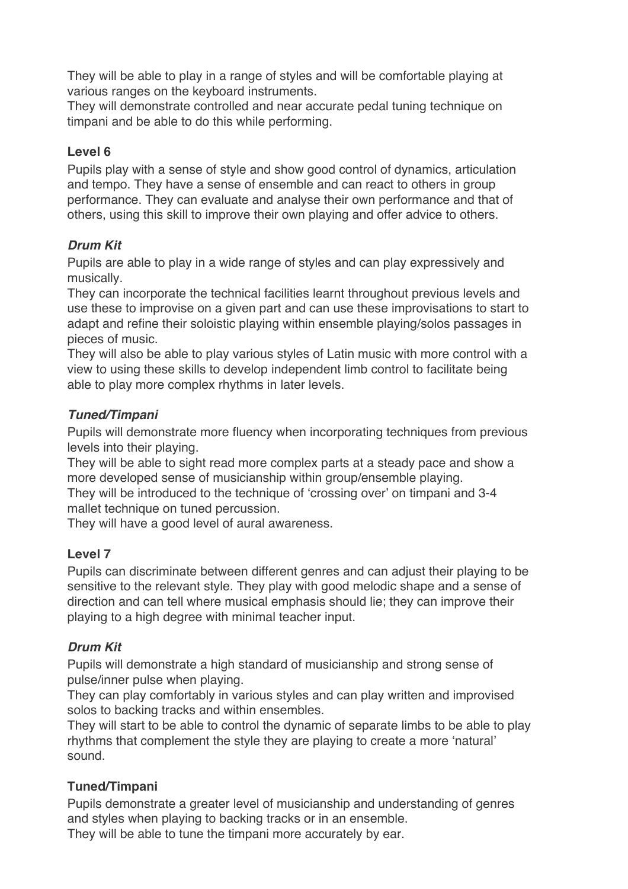They will be able to play in a range of styles and will be comfortable playing at various ranges on the keyboard instruments.

They will demonstrate controlled and near accurate pedal tuning technique on timpani and be able to do this while performing.

#### **Level 6**

Pupils play with a sense of style and show good control of dynamics, articulation and tempo. They have a sense of ensemble and can react to others in group performance. They can evaluate and analyse their own performance and that of others, using this skill to improve their own playing and offer advice to others.

#### *Drum Kit*

Pupils are able to play in a wide range of styles and can play expressively and musically.

They can incorporate the technical facilities learnt throughout previous levels and use these to improvise on a given part and can use these improvisations to start to adapt and refine their soloistic playing within ensemble playing/solos passages in pieces of music.

They will also be able to play various styles of Latin music with more control with a view to using these skills to develop independent limb control to facilitate being able to play more complex rhythms in later levels.

#### *Tuned/Timpani*

Pupils will demonstrate more fluency when incorporating techniques from previous levels into their playing.

They will be able to sight read more complex parts at a steady pace and show a more developed sense of musicianship within group/ensemble playing.

They will be introduced to the technique of 'crossing over' on timpani and 3-4 mallet technique on tuned percussion.

They will have a good level of aural awareness.

#### **Level 7**

Pupils can discriminate between different genres and can adjust their playing to be sensitive to the relevant style. They play with good melodic shape and a sense of direction and can tell where musical emphasis should lie; they can improve their playing to a high degree with minimal teacher input.

# *Drum Kit*

Pupils will demonstrate a high standard of musicianship and strong sense of pulse/inner pulse when playing.

They can play comfortably in various styles and can play written and improvised solos to backing tracks and within ensembles.

They will start to be able to control the dynamic of separate limbs to be able to play rhythms that complement the style they are playing to create a more 'natural' sound.

# **Tuned/Timpani**

Pupils demonstrate a greater level of musicianship and understanding of genres and styles when playing to backing tracks or in an ensemble. They will be able to tune the timpani more accurately by ear.